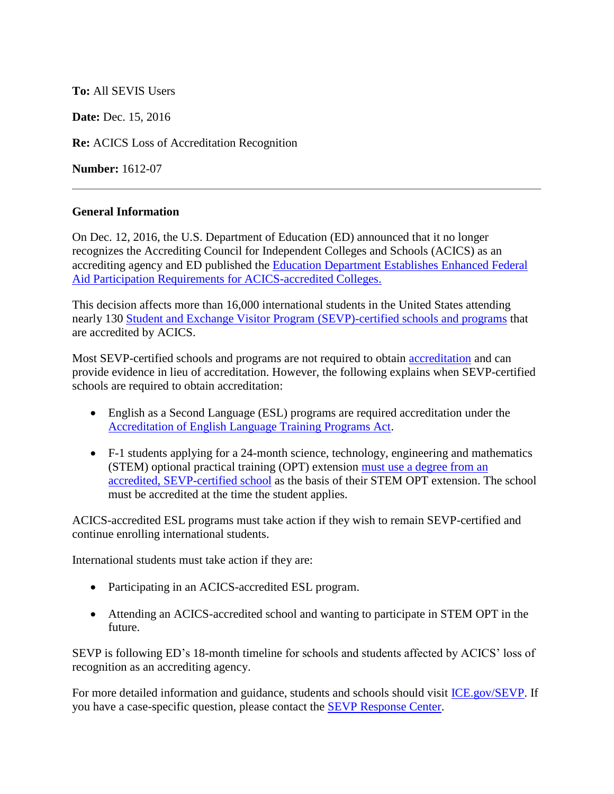## **To:** All SEVIS Users

**Date:** Dec. 15, 2016

**Re:** ACICS Loss of Accreditation Recognition

**Number:** 1612-07

## **General Information**

On Dec. 12, 2016, the U.S. Department of Education (ED) announced that it no longer recognizes the Accrediting Council for Independent Colleges and Schools (ACICS) as an accrediting agency and ED published the [Education Department Establishes Enhanced Federal](http://www.ed.gov/news/press-releases/education-department-establishes-enhanced-federal-aid-participation-requirements-acics-accredited-colleges)  [Aid Participation Requirements for ACICS-accredited Colleges.](http://www.ed.gov/news/press-releases/education-department-establishes-enhanced-federal-aid-participation-requirements-acics-accredited-colleges)

This decision affects more than 16,000 international students in the United States attending nearly 130 [Student and Exchange Visitor Program](https://studyinthestates.dhs.gov/school-search) (SEVP)-certified schools and programs that are accredited by ACICS.

Most SEVP-certified schools and programs are not required to obtain [accreditation](https://studyinthestates.dhs.gov/the-basics-of-school-accreditation) and can provide evidence in lieu of accreditation. However, the following explains when SEVP-certified schools are required to obtain accreditation:

- English as a Second Language (ESL) programs are required accreditation under the [Accreditation of English Language Training Programs Act.](https://studyinthestates.dhs.gov/accreditation-of-english-language-training-programs-act)
- F-1 students applying for a 24-month science, technology, engineering and mathematics (STEM) optional practical training (OPT) extension [must use a degree from an](https://studyinthestates.dhs.gov/students-determining-stem-opt-extension-eligibility)  [accredited, SEVP-certified school](https://studyinthestates.dhs.gov/students-determining-stem-opt-extension-eligibility) as the basis of their STEM OPT extension. The school must be accredited at the time the student applies.

ACICS-accredited ESL programs must take action if they wish to remain SEVP-certified and continue enrolling international students.

International students must take action if they are:

- Participating in an ACICS-accredited ESL program.
- Attending an ACICS-accredited school and wanting to participate in STEM OPT in the future.

SEVP is following ED's 18-month timeline for schools and students affected by ACICS' loss of recognition as an accrediting agency.

For more detailed information and guidance, students and schools should visit [ICE.gov/SEVP.](https://www.ice.gov/sevis/whats-new) If you have a case-specific question, please contact the [SEVP Response Center.](https://studyinthestates.dhs.gov/contact-us)